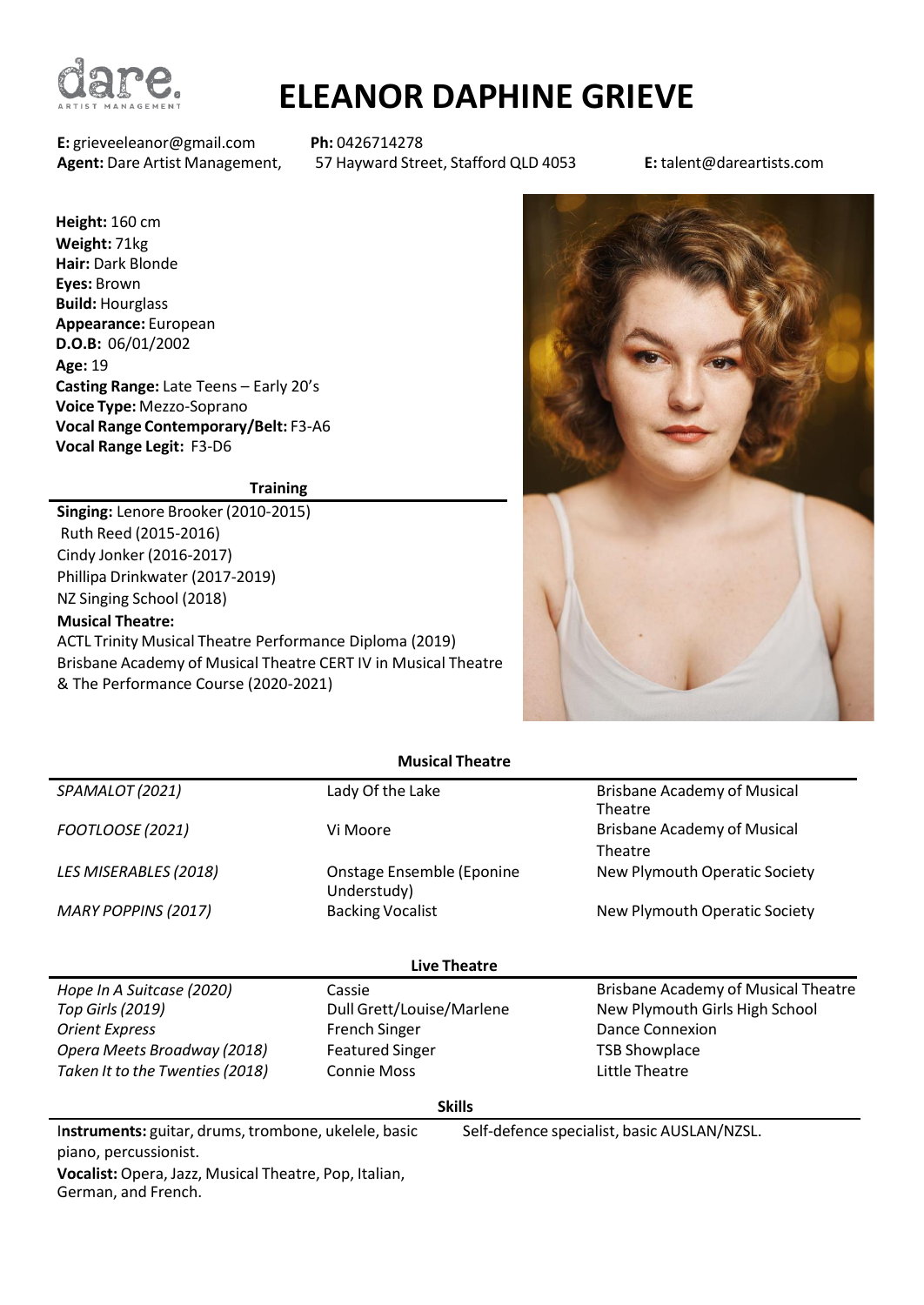

## **ELEANOR DAPHINE GRIEVE**

**E:** [grieveeleanor@gmail.com](mailto:grieveeleanor@gmail.com) **Ph:** 0426714278<br>**Agent:** Dare Artist Management, 57 Hayward Stre

**Agent:** Dare Artist Management, 57 Hayward Street, Stafford QLD 4053 **E:** [talent@dareartists.com](mailto:talent@dareartists.com)

**Height:** 160 cm **Weight:** 71kg **Hair:** Dark Blonde **Eyes:** Brown **Build:** Hourglass **Appearance:** European **D.O.B:** 06/01/2002 **Age:** 19 **Casting Range:** Late Teens – Early 20's **Voice Type:** Mezzo-Soprano **Vocal Range Contemporary/Belt:** F3-A6 **Vocal Range Legit:** F3-D6

## **Training**

**Singing:** Lenore Brooker(2010-2015) Ruth Reed (2015-2016) Cindy Jonker (2016-2017) Phillipa Drinkwater (2017-2019) NZ Singing School (2018)

## **Musical Theatre:**

ACTL Trinity Musical Theatre Performance Diploma (2019) Brisbane Academy of Musical Theatre CERT IV in Musical Theatre & The Performance Course (2020-2021)



| <b>Musical Theatre</b>          |                                          |                                               |
|---------------------------------|------------------------------------------|-----------------------------------------------|
| SPAMALOT (2021)                 | Lady Of the Lake                         | <b>Brisbane Academy of Musical</b><br>Theatre |
| <b>FOOTLOOSE</b> (2021)         | Vi Moore                                 | <b>Brisbane Academy of Musical</b><br>Theatre |
| LES MISERABLES (2018)           | Onstage Ensemble (Eponine<br>Understudy) | New Plymouth Operatic Society                 |
| <b>MARY POPPINS (2017)</b>      | <b>Backing Vocalist</b>                  | New Plymouth Operatic Society                 |
| <b>Live Theatre</b>             |                                          |                                               |
| Hope In A Suitcase (2020)       | Cassie                                   | <b>Brisbane Academy of Musical Theatre</b>    |
| <b>Top Girls (2019)</b>         | Dull Grett/Louise/Marlene                | New Plymouth Girls High School                |
| <b>Orient Express</b>           | <b>French Singer</b>                     | Dance Connexion                               |
| Opera Meets Broadway (2018)     | <b>Featured Singer</b>                   | <b>TSB Showplace</b>                          |
| Taken It to the Twenties (2018) | <b>Connie Moss</b>                       | Little Theatre                                |
| <b>Skills</b>                   |                                          |                                               |

piano, percussionist. **Vocalist:** Opera, Jazz, Musical Theatre, Pop, Italian, German, and French.

I**nstruments:** guitar, drums, trombone, ukelele, basic

Self-defence specialist, basic AUSLAN/NZSL.